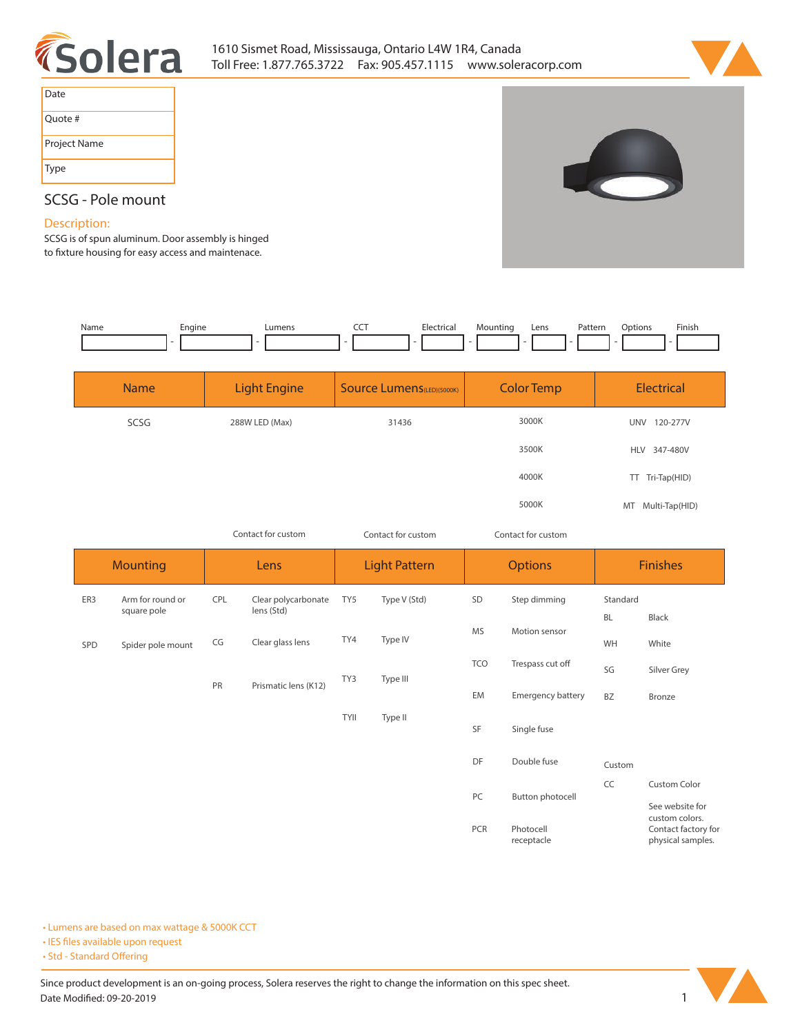



| Date         |
|--------------|
| Quote #      |
| Project Name |
| Type         |

# **SCSG - Pole mount**

## **Description:**

**SCSG is of spun aluminum. Door assembly is hinged**  to fixture housing for easy access and maintenace.

| Name | Enaine | umens- | Electrical<br>. | . . | Lens | atter<br>. | mtion.<br>. | Finish. |
|------|--------|--------|-----------------|-----|------|------------|-------------|---------|
|      |        |        |                 |     |      |            |             |         |

| <b>Name</b> | <b>Light Engine</b> | <b>Source Lumens</b> (LED)(5000K) | <b>Color Temp</b> | <b>Electrical</b>      |
|-------------|---------------------|-----------------------------------|-------------------|------------------------|
| SCSG        | 288W LED (Max)      | 31436                             | 3000K             | 120-277V<br><b>UNV</b> |
|             |                     |                                   | 3500K             | HLV 347-480V           |
|             |                     |                                   | 4000K             | TT Tri-Tap(HID)        |
|             |                     |                                   | 5000K             | MT Multi-Tap(HID)      |

*Contact for custom Contact for custom*

*Contact for custom*

| <b>Mounting</b> |                                 | Lens                       |                                   | <b>Light Pattern</b>     |              | <b>Options</b> |                         | <b>Finishes</b>       |                                                            |  |
|-----------------|---------------------------------|----------------------------|-----------------------------------|--------------------------|--------------|----------------|-------------------------|-----------------------|------------------------------------------------------------|--|
| ER3             | Arm for round or<br>square pole | CPL                        | Clear polycarbonate<br>lens (Std) | TY5                      | Type V (Std) | SD             | Step dimming            | Standard<br><b>BL</b> | Black                                                      |  |
| SPD             | Spider pole mount               | CG                         | Clear glass lens                  | TY4                      | Type IV      | <b>MS</b>      | Motion sensor           | WH                    | White                                                      |  |
|                 |                                 |                            |                                   | TY3                      | Type III     | <b>TCO</b>     | Trespass cut off        | SG                    | Silver Grey                                                |  |
|                 |                                 | PR<br>Prismatic lens (K12) | EM                                | <b>Emergency battery</b> | <b>BZ</b>    | Bronze         |                         |                       |                                                            |  |
|                 |                                 |                            |                                   | <b>TYII</b>              | Type II      | SF             | Single fuse             |                       |                                                            |  |
|                 |                                 |                            |                                   |                          |              | DF             | Double fuse             | Custom                |                                                            |  |
|                 |                                 |                            |                                   |                          |              | PC             | Button photocell        | CC                    | Custom Color<br>See website for                            |  |
|                 |                                 |                            |                                   |                          |              | PCR            | Photocell<br>receptacle |                       | custom colors.<br>Contact factory for<br>physical samples. |  |

**• Lumens are based on max wattage & 5000K CCT**

**• IES files available upon request** 

• Std - Standard Offering

Since product development is an on-going process, Solera reserves the right to change the information on this spec sheet. **Date Modified: 09-20-2019** 1